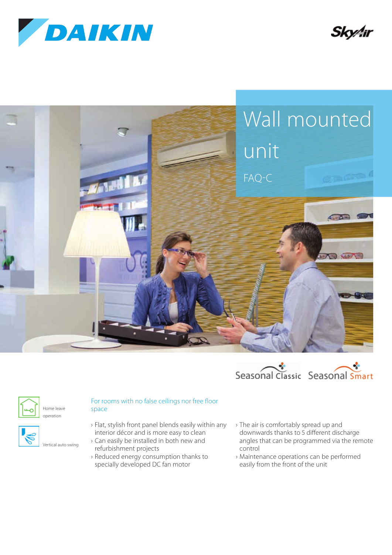







Home leave operation



Vertical auto swing

- › Flat, stylish front panel blends easily within any interior décor and is more easy to clean
- › Can easily be installed in both new and refurbishment projects
- › Reduced energy consumption thanks to specially developed DC fan motor
- › The air is comfortably spread up and downwards thanks to 5 different discharge angles that can be programmed via the remote control
- › Maintenance operations can be performed easily from the front of the unit